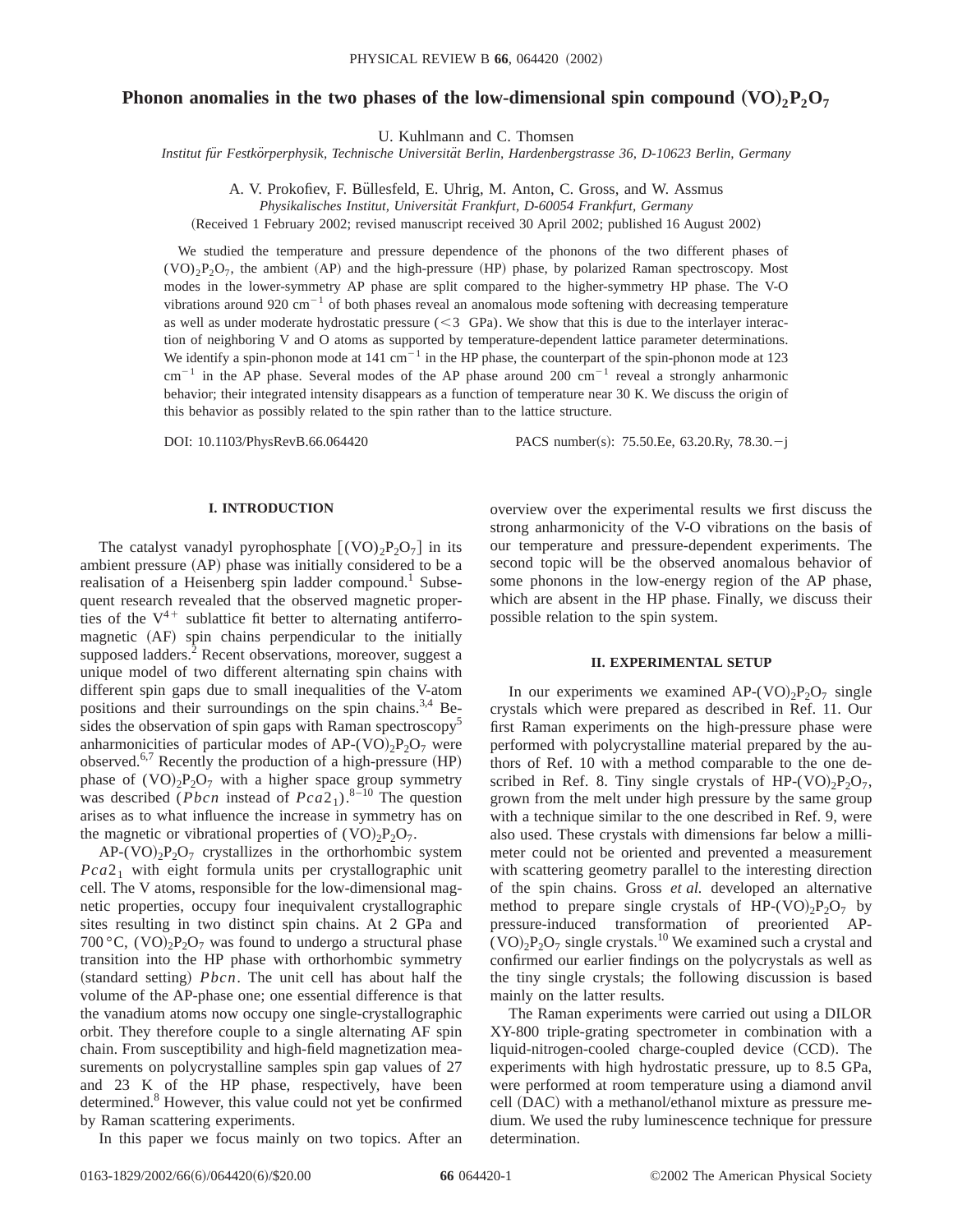# **Phonon anomalies in the two phases of the low-dimensional spin compound**  $(\text{VO})_2\text{P}_2\text{O}_7$

U. Kuhlmann and C. Thomsen

*Institut fu¨r Festko¨rperphysik, Technische Universita¨t Berlin, Hardenbergstrasse 36, D-10623 Berlin, Germany*

A. V. Prokofiev, F. Büllesfeld, E. Uhrig, M. Anton, C. Gross, and W. Assmus

*Physikalisches Institut, Universita¨t Frankfurt, D-60054 Frankfurt, Germany*

(Received 1 February 2002; revised manuscript received 30 April 2002; published 16 August 2002)

We studied the temperature and pressure dependence of the phonons of the two different phases of  $(VO<sub>2</sub>P<sub>2</sub>O<sub>7</sub>$ , the ambient (AP) and the high-pressure (HP) phase, by polarized Raman spectroscopy. Most modes in the lower-symmetry AP phase are split compared to the higher-symmetry HP phase. The V-O vibrations around 920 cm<sup>-1</sup> of both phases reveal an anomalous mode softening with decreasing temperature as well as under moderate hydrostatic pressure  $( $3$  GPa). We show that this is due to the interlayer interac$ tion of neighboring V and O atoms as supported by temperature-dependent lattice parameter determinations. We identify a spin-phonon mode at  $141 \text{ cm}^{-1}$  in the HP phase, the counterpart of the spin-phonon mode at 123  $cm^{-1}$  in the AP phase. Several modes of the AP phase around 200  $cm^{-1}$  reveal a strongly anharmonic behavior; their integrated intensity disappears as a function of temperature near 30 K. We discuss the origin of this behavior as possibly related to the spin rather than to the lattice structure.

DOI: 10.1103/PhysRevB.66.064420 PACS number(s): 75.50.Ee, 63.20.Ry, 78.30.-j

### **I. INTRODUCTION**

The catalyst vanadyl pyrophosphate  $[(VO)_2P_2O_7]$  in its ambient pressure  $(AP)$  phase was initially considered to be a realisation of a Heisenberg spin ladder compound.<sup>1</sup> Subsequent research revealed that the observed magnetic properties of the  $V^{4+}$  sublattice fit better to alternating antiferromagnetic (AF) spin chains perpendicular to the initially supposed ladders.<sup>2</sup> Recent observations, moreover, suggest a unique model of two different alternating spin chains with different spin gaps due to small inequalities of the V-atom positions and their surroundings on the spin chains.<sup>3,4</sup> Besides the observation of spin gaps with Raman spectroscopy<sup>5</sup> anharmonicities of particular modes of AP-(VO)<sub>2</sub>P<sub>2</sub>O<sub>7</sub> were observed.<sup>6,7</sup> Recently the production of a high-pressure  $(HP)$ phase of  $(VO)<sub>2</sub>P<sub>2</sub>O<sub>7</sub>$  with a higher space group symmetry was described (*Pbcn* instead of  $Pca2_1$ ).<sup>8–10</sup> The question arises as to what influence the increase in symmetry has on the magnetic or vibrational properties of  $(VO)_{2}P_{2}O_{7}$ .

 $AP-(VO)_{2}P_{2}O_{7}$  crystallizes in the orthorhombic system  $Pca2<sub>1</sub>$  with eight formula units per crystallographic unit cell. The V atoms, responsible for the low-dimensional magnetic properties, occupy four inequivalent crystallographic sites resulting in two distinct spin chains. At 2 GPa and 700 °C,  $(VO)_{2}P_{2}O_{7}$  was found to undergo a structural phase transition into the HP phase with orthorhombic symmetry  $(\text{standard setting})$  *Pbcn*. The unit cell has about half the volume of the AP-phase one; one essential difference is that the vanadium atoms now occupy one single-crystallographic orbit. They therefore couple to a single alternating AF spin chain. From susceptibility and high-field magnetization measurements on polycrystalline samples spin gap values of 27 and 23 K of the HP phase, respectively, have been determined.<sup>8</sup> However, this value could not yet be confirmed by Raman scattering experiments.

In this paper we focus mainly on two topics. After an

overview over the experimental results we first discuss the strong anharmonicity of the V-O vibrations on the basis of our temperature and pressure-dependent experiments. The second topic will be the observed anomalous behavior of some phonons in the low-energy region of the AP phase, which are absent in the HP phase. Finally, we discuss their possible relation to the spin system.

### **II. EXPERIMENTAL SETUP**

In our experiments we examined AP- $(VO)_{2}P_{2}O_{7}$  single crystals which were prepared as described in Ref. 11. Our first Raman experiments on the high-pressure phase were performed with polycrystalline material prepared by the authors of Ref. 10 with a method comparable to the one described in Ref. 8. Tiny single crystals of HP- $(VO)_{2}P_{2}O_{7}$ , grown from the melt under high pressure by the same group with a technique similar to the one described in Ref. 9, were also used. These crystals with dimensions far below a millimeter could not be oriented and prevented a measurement with scattering geometry parallel to the interesting direction of the spin chains. Gross *et al.* developed an alternative method to prepare single crystals of HP-(VO)<sub>2</sub>P<sub>2</sub>O<sub>7</sub> by pressure-induced transformation of preoriented AP-  $(VO)_{2}P_{2}O_{7}$  single crystals.<sup>10</sup> We examined such a crystal and confirmed our earlier findings on the polycrystals as well as the tiny single crystals; the following discussion is based mainly on the latter results.

The Raman experiments were carried out using a DILOR XY-800 triple-grating spectrometer in combination with a liquid-nitrogen-cooled charge-coupled device (CCD). The experiments with high hydrostatic pressure, up to 8.5 GPa, were performed at room temperature using a diamond anvil cell (DAC) with a methanol/ethanol mixture as pressure medium. We used the ruby luminescence technique for pressure determination.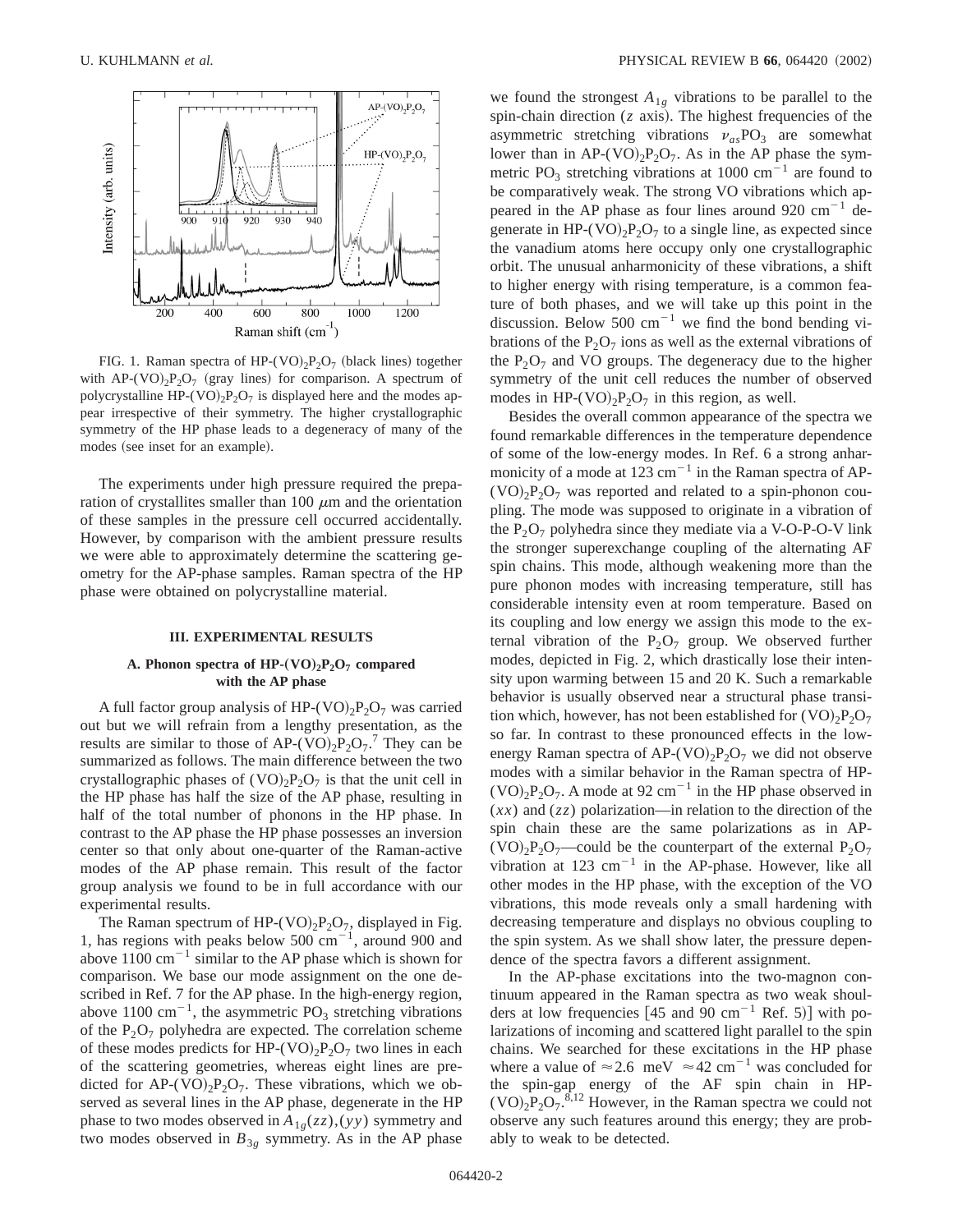

FIG. 1. Raman spectra of HP- $(VO)_{2}P_{2}O_{7}$  (black lines) together with AP-(VO)<sub>2</sub>P<sub>2</sub>O<sub>7</sub> (gray lines) for comparison. A spectrum of polycrystalline HP-(VO)<sub>2</sub>P<sub>2</sub>O<sub>7</sub> is displayed here and the modes appear irrespective of their symmetry. The higher crystallographic symmetry of the HP phase leads to a degeneracy of many of the modes (see inset for an example).

The experiments under high pressure required the preparation of crystallites smaller than 100  $\mu$ m and the orientation of these samples in the pressure cell occurred accidentally. However, by comparison with the ambient pressure results we were able to approximately determine the scattering geometry for the AP-phase samples. Raman spectra of the HP phase were obtained on polycrystalline material.

#### **III. EXPERIMENTAL RESULTS**

## **A. Phonon spectra of HP-** $(VO)_2P_2O_7$  **compared with the AP phase**

A full factor group analysis of HP- $(VO)<sub>2</sub>P<sub>2</sub>O<sub>7</sub>$  was carried out but we will refrain from a lengthy presentation, as the results are similar to those of AP- $(\overline{VO})_2P_2O_7$ .<sup>7</sup> They can be summarized as follows. The main difference between the two crystallographic phases of  $(VO)_{2}P_{2}O_{7}$  is that the unit cell in the HP phase has half the size of the AP phase, resulting in half of the total number of phonons in the HP phase. In contrast to the AP phase the HP phase possesses an inversion center so that only about one-quarter of the Raman-active modes of the AP phase remain. This result of the factor group analysis we found to be in full accordance with our experimental results.

The Raman spectrum of HP-(VO)<sub>2</sub>P<sub>2</sub>O<sub>7</sub>, displayed in Fig. 1, has regions with peaks below 500  $cm^{-1}$ , around 900 and above  $1100 \text{ cm}^{-1}$  similar to the AP phase which is shown for comparison. We base our mode assignment on the one described in Ref. 7 for the AP phase. In the high-energy region, above 1100 cm<sup>-1</sup>, the asymmetric PO<sub>3</sub> stretching vibrations of the  $P_2O_7$  polyhedra are expected. The correlation scheme of these modes predicts for HP-(VO)<sub>2</sub>P<sub>2</sub>O<sub>7</sub> two lines in each of the scattering geometries, whereas eight lines are predicted for AP-(VO)<sub>2</sub>P<sub>2</sub>O<sub>7</sub>. These vibrations, which we observed as several lines in the AP phase, degenerate in the HP phase to two modes observed in  $A_{1g}(zz)$ , (*yy*) symmetry and two modes observed in  $B_{3g}$  symmetry. As in the AP phase we found the strongest  $A_{1g}$  vibrations to be parallel to the spin-chain direction  $(z \text{ axis})$ . The highest frequencies of the asymmetric stretching vibrations  $v_{as}PO_3$  are somewhat lower than in  $AP-(VO)_2P_2O_7$ . As in the AP phase the symmetric PO<sub>3</sub> stretching vibrations at 1000 cm<sup>-1</sup> are found to be comparatively weak. The strong VO vibrations which appeared in the AP phase as four lines around 920  $\text{cm}^{-1}$  degenerate in HP-(VO)<sub>2</sub>P<sub>2</sub>O<sub>7</sub> to a single line, as expected since the vanadium atoms here occupy only one crystallographic orbit. The unusual anharmonicity of these vibrations, a shift to higher energy with rising temperature, is a common feature of both phases, and we will take up this point in the discussion. Below 500  $cm^{-1}$  we find the bond bending vibrations of the  $P_2O_7$  ions as well as the external vibrations of the  $P_2O_7$  and VO groups. The degeneracy due to the higher symmetry of the unit cell reduces the number of observed modes in HP-(VO)<sub>2</sub>P<sub>2</sub>O<sub>7</sub> in this region, as well.

Besides the overall common appearance of the spectra we found remarkable differences in the temperature dependence of some of the low-energy modes. In Ref. 6 a strong anharmonicity of a mode at  $123 \text{ cm}^{-1}$  in the Raman spectra of AP- $(VO)_{2}P_{2}O_{7}$  was reported and related to a spin-phonon coupling. The mode was supposed to originate in a vibration of the  $P_2O_7$  polyhedra since they mediate via a V-O-P-O-V link the stronger superexchange coupling of the alternating AF spin chains. This mode, although weakening more than the pure phonon modes with increasing temperature, still has considerable intensity even at room temperature. Based on its coupling and low energy we assign this mode to the external vibration of the  $P_2O_7$  group. We observed further modes, depicted in Fig. 2, which drastically lose their intensity upon warming between 15 and 20 K. Such a remarkable behavior is usually observed near a structural phase transition which, however, has not been established for  $(VO)_{2}P_{2}O_{7}$ so far. In contrast to these pronounced effects in the lowenergy Raman spectra of  $AP-(VO)_2P_2O_7$  we did not observe modes with a similar behavior in the Raman spectra of HP-  $(VO)_{2}P_{2}O_{7}$ . A mode at 92 cm<sup>-1</sup> in the HP phase observed in (*xx*) and (*zz*) polarization—in relation to the direction of the spin chain these are the same polarizations as in AP-  $(VO)<sub>2</sub>P<sub>2</sub>O<sub>7</sub>$ —could be the counterpart of the external  $P<sub>2</sub>O<sub>7</sub>$ vibration at 123  $cm^{-1}$  in the AP-phase. However, like all other modes in the HP phase, with the exception of the VO vibrations, this mode reveals only a small hardening with decreasing temperature and displays no obvious coupling to the spin system. As we shall show later, the pressure dependence of the spectra favors a different assignment.

In the AP-phase excitations into the two-magnon continuum appeared in the Raman spectra as two weak shoulders at low frequencies  $[45 \text{ and } 90 \text{ cm}^{-1} \text{ Ref. } 5]$  with polarizations of incoming and scattered light parallel to the spin chains. We searched for these excitations in the HP phase where a value of  $\approx 2.6$  meV  $\approx 42$  cm<sup>-1</sup> was concluded for the spin-gap energy of the AF spin chain in HP-  $(VO)_2P_2O_7$ .<sup>8,12</sup> However, in the Raman spectra we could not observe any such features around this energy; they are probably to weak to be detected.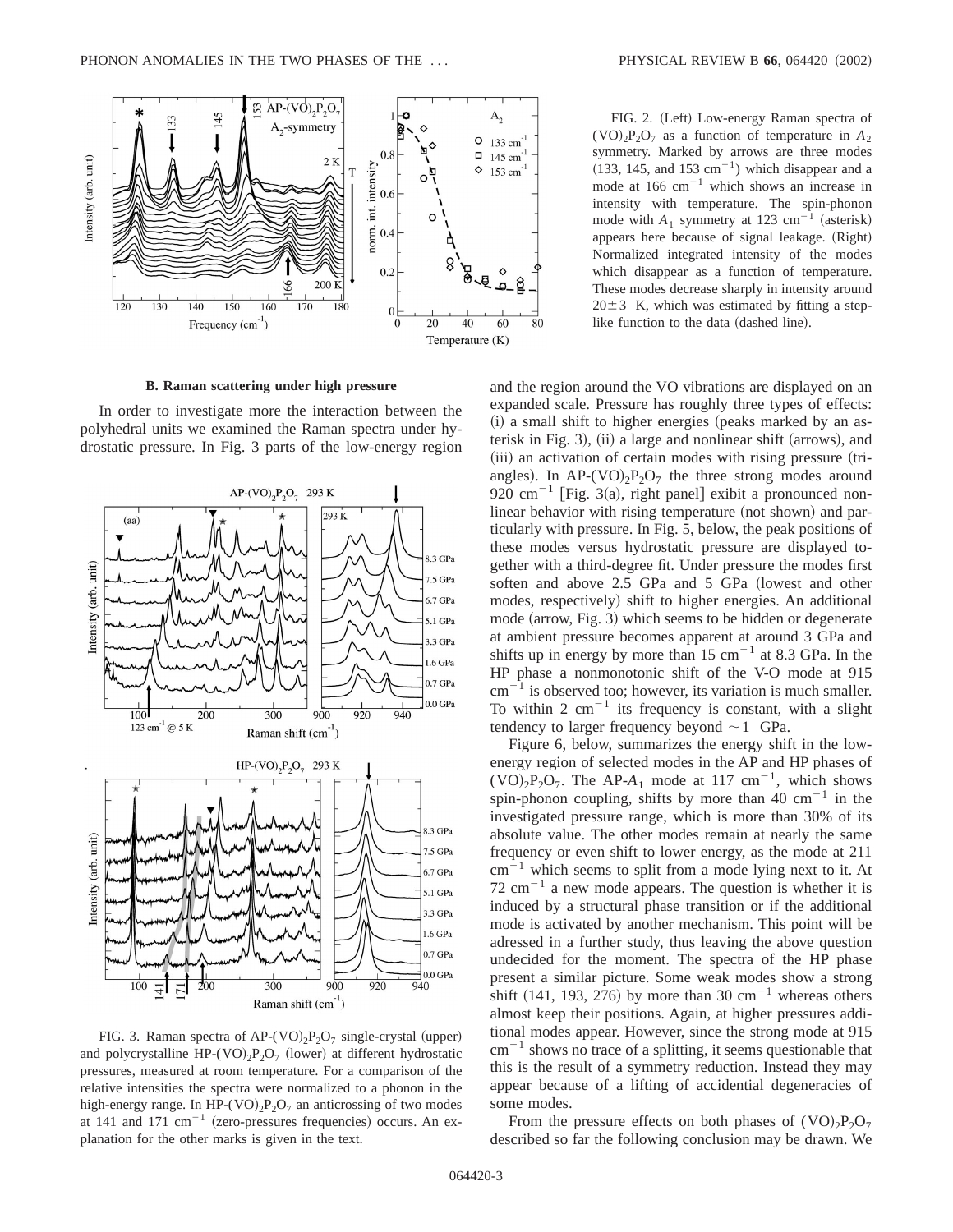

**B. Raman scattering under high pressure**

In order to investigate more the interaction between the polyhedral units we examined the Raman spectra under hydrostatic pressure. In Fig. 3 parts of the low-energy region



FIG. 3. Raman spectra of AP- $(VO)_{2}P_{2}O_{7}$  single-crystal (upper) and polycrystalline HP- $(VO)_{2}P_{2}O_{7}$  (lower) at different hydrostatic pressures, measured at room temperature. For a comparison of the relative intensities the spectra were normalized to a phonon in the high-energy range. In HP-(VO)<sub>2</sub>P<sub>2</sub>O<sub>7</sub> an anticrossing of two modes at 141 and 171  $cm^{-1}$  (zero-pressures frequencies) occurs. An explanation for the other marks is given in the text.

FIG. 2. (Left) Low-energy Raman spectra of  $(VO)_{2}P_{2}O_{7}$  as a function of temperature in  $A_{2}$ symmetry. Marked by arrows are three modes  $(133, 145, \text{ and } 153 \text{ cm}^{-1})$  which disappear and a mode at  $166 \text{ cm}^{-1}$  which shows an increase in intensity with temperature. The spin-phonon mode with  $A_1$  symmetry at 123 cm<sup>-1</sup> (asterisk) appears here because of signal leakage. (Right) Normalized integrated intensity of the modes which disappear as a function of temperature. These modes decrease sharply in intensity around  $20±3$  K, which was estimated by fitting a steplike function to the data (dashed line).

and the region around the VO vibrations are displayed on an expanded scale. Pressure has roughly three types of effects:  $(i)$  a small shift to higher energies (peaks marked by an asterisk in Fig. 3),  $(ii)$  a large and nonlinear shift (arrows), and (iii) an activation of certain modes with rising pressure (triangles). In AP-(VO)<sub>2</sub>P<sub>2</sub>O<sub>7</sub> the three strong modes around 920 cm<sup>-1</sup> [Fig. 3(a), right panel] exibit a pronounced nonlinear behavior with rising temperature (not shown) and particularly with pressure. In Fig. 5, below, the peak positions of these modes versus hydrostatic pressure are displayed together with a third-degree fit. Under pressure the modes first soften and above 2.5 GPa and 5 GPa (lowest and other modes, respectively) shift to higher energies. An additional  $mode$  (arrow, Fig. 3) which seems to be hidden or degenerate at ambient pressure becomes apparent at around 3 GPa and shifts up in energy by more than 15 cm<sup>-1</sup> at 8.3 GPa. In the HP phase a nonmonotonic shift of the V-O mode at 915  $cm^{-1}$  is observed too; however, its variation is much smaller. To within 2  $cm^{-1}$  its frequency is constant, with a slight tendency to larger frequency beyond  $\sim$  1 GPa.

Figure 6, below, summarizes the energy shift in the lowenergy region of selected modes in the AP and HP phases of  $(VO)<sub>2</sub>P<sub>2</sub>O<sub>7</sub>$ . The AP-A<sub>1</sub> mode at 117 cm<sup>-1</sup>, which shows spin-phonon coupling, shifts by more than 40  $cm^{-1}$  in the investigated pressure range, which is more than 30% of its absolute value. The other modes remain at nearly the same frequency or even shift to lower energy, as the mode at 211  $cm^{-1}$  which seems to split from a mode lying next to it. At 72  $\text{cm}^{-1}$  a new mode appears. The question is whether it is induced by a structural phase transition or if the additional mode is activated by another mechanism. This point will be adressed in a further study, thus leaving the above question undecided for the moment. The spectra of the HP phase present a similar picture. Some weak modes show a strong shift  $(141, 193, 276)$  by more than 30 cm<sup>-1</sup> whereas others almost keep their positions. Again, at higher pressures additional modes appear. However, since the strong mode at 915  $cm^{-1}$  shows no trace of a splitting, it seems questionable that this is the result of a symmetry reduction. Instead they may appear because of a lifting of accidential degeneracies of some modes.

From the pressure effects on both phases of  $(VO)_{2}P_{2}O_{7}$ described so far the following conclusion may be drawn. We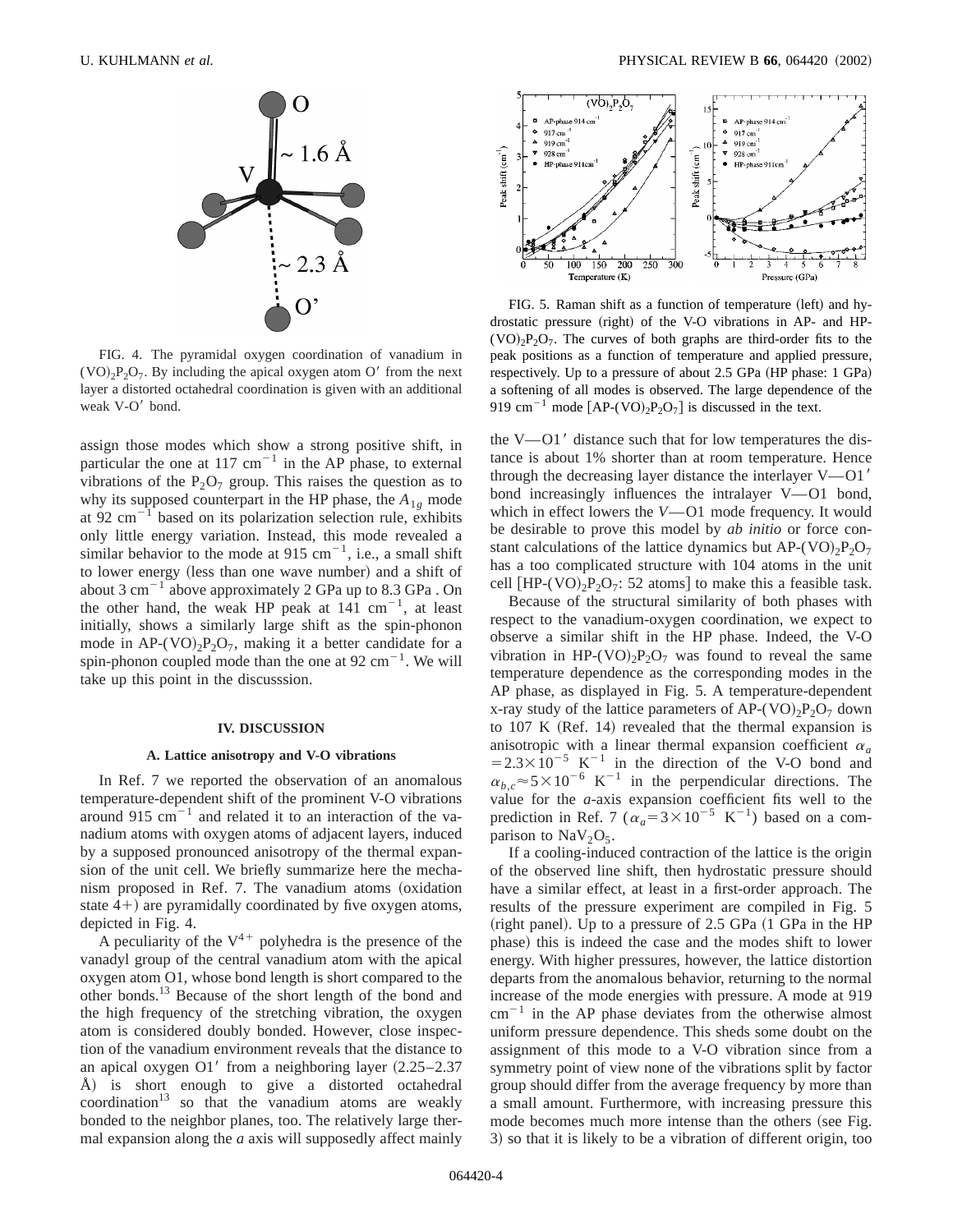

FIG. 4. The pyramidal oxygen coordination of vanadium in  $(VO)<sub>2</sub>P<sub>2</sub>O<sub>7</sub>$ . By including the apical oxygen atom O' from the next layer a distorted octahedral coordination is given with an additional weak V-O' bond.

assign those modes which show a strong positive shift, in particular the one at 117  $cm^{-1}$  in the AP phase, to external vibrations of the  $P_2O_7$  group. This raises the question as to why its supposed counterpart in the HP phase, the  $A_{1g}$  mode at 92  $\text{cm}^{-1}$  based on its polarization selection rule, exhibits only little energy variation. Instead, this mode revealed a similar behavior to the mode at 915 cm<sup>-1</sup>, i.e., a small shift to lower energy (less than one wave number) and a shift of about 3  $cm^{-1}$  above approximately 2 GPa up to 8.3 GPa . On the other hand, the weak HP peak at  $141 \text{ cm}^{-1}$ , at least initially, shows a similarly large shift as the spin-phonon mode in AP-(VO)<sub>2</sub>P<sub>2</sub>O<sub>7</sub>, making it a better candidate for a spin-phonon coupled mode than the one at  $92 \text{ cm}^{-1}$ . We will take up this point in the discusssion.

#### **IV. DISCUSSION**

#### **A. Lattice anisotropy and V-O vibrations**

In Ref. 7 we reported the observation of an anomalous temperature-dependent shift of the prominent V-O vibrations around 915 cm<sup> $-1$ </sup> and related it to an interaction of the vanadium atoms with oxygen atoms of adjacent layers, induced by a supposed pronounced anisotropy of the thermal expansion of the unit cell. We briefly summarize here the mechanism proposed in Ref. 7. The vanadium atoms (oxidation state  $4+$ ) are pyramidally coordinated by five oxygen atoms, depicted in Fig. 4.

A peculiarity of the  $V^{4+}$  polyhedra is the presence of the vanadyl group of the central vanadium atom with the apical oxygen atom O1, whose bond length is short compared to the other bonds.13 Because of the short length of the bond and the high frequency of the stretching vibration, the oxygen atom is considered doubly bonded. However, close inspection of the vanadium environment reveals that the distance to an apical oxygen O1' from a neighboring layer  $(2.25-2.37)$ Å) is short enough to give a distorted octahedral coordination<sup>13</sup> so that the vanadium atoms are weakly bonded to the neighbor planes, too. The relatively large thermal expansion along the *a* axis will supposedly affect mainly



FIG. 5. Raman shift as a function of temperature (left) and hydrostatic pressure (right) of the V-O vibrations in AP- and HP- $(VO)_{2}P_{2}O_{7}$ . The curves of both graphs are third-order fits to the peak positions as a function of temperature and applied pressure, respectively. Up to a pressure of about  $2.5$  GPa (HP phase: 1 GPa) a softening of all modes is observed. The large dependence of the 919 cm<sup>-1</sup> mode  $[AP-(VO)_2P_2O_7]$  is discussed in the text.

the V $-$ O1 $'$  distance such that for low temperatures the distance is about 1% shorter than at room temperature. Hence through the decreasing layer distance the interlayer  $V$ —O1' bond increasingly influences the intralayer  $V$ —O1 bond, which in effect lowers the *V*—O1 mode frequency. It would be desirable to prove this model by *ab initio* or force constant calculations of the lattice dynamics but  $AP-(VO)_2P_2O_7$ has a too complicated structure with 104 atoms in the unit cell  $[HP-(VO)_2P_2O_7: 52$  atoms to make this a feasible task.

Because of the structural similarity of both phases with respect to the vanadium-oxygen coordination, we expect to observe a similar shift in the HP phase. Indeed, the V-O vibration in HP-(VO)<sub>2</sub>P<sub>2</sub>O<sub>7</sub> was found to reveal the same temperature dependence as the corresponding modes in the AP phase, as displayed in Fig. 5. A temperature-dependent x-ray study of the lattice parameters of  $AP-(VO)_2P_2O_7$  down to  $107$  K (Ref. 14) revealed that the thermal expansion is anisotropic with a linear thermal expansion coefficient  $\alpha_a$  $=2.3\times10^{-5}$  K<sup>-1</sup> in the direction of the V-O bond and  $\alpha_b$ <sup> $\sim$ </sup><sup> $\approx$ </sup>5×10<sup>-6</sup> K<sup>-1</sup> in the perpendicular directions. The value for the *a*-axis expansion coefficient fits well to the prediction in Ref. 7 ( $\alpha_a$ =3×10<sup>-5</sup> K<sup>-1</sup>) based on a comparison to  $\text{NaV}_2\text{O}_5$ .

If a cooling-induced contraction of the lattice is the origin of the observed line shift, then hydrostatic pressure should have a similar effect, at least in a first-order approach. The results of the pressure experiment are compiled in Fig. 5 (right panel). Up to a pressure of  $2.5$  GPa  $(1$  GPa in the HP phase) this is indeed the case and the modes shift to lower energy. With higher pressures, however, the lattice distortion departs from the anomalous behavior, returning to the normal increase of the mode energies with pressure. A mode at 919  $cm^{-1}$  in the AP phase deviates from the otherwise almost uniform pressure dependence. This sheds some doubt on the assignment of this mode to a V-O vibration since from a symmetry point of view none of the vibrations split by factor group should differ from the average frequency by more than a small amount. Furthermore, with increasing pressure this mode becomes much more intense than the others (see Fig. 3) so that it is likely to be a vibration of different origin, too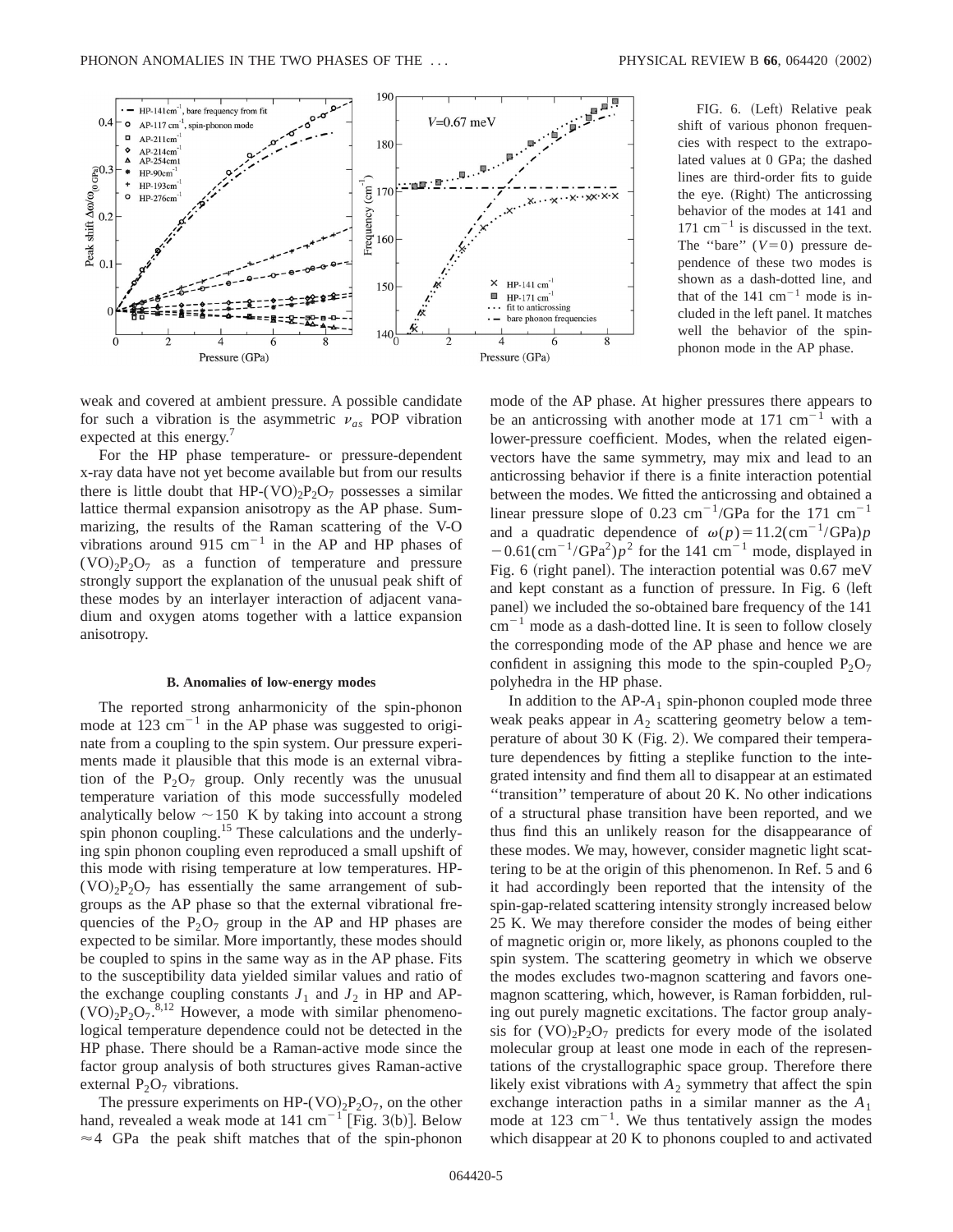

weak and covered at ambient pressure. A possible candidate for such a vibration is the asymmetric  $v_{as}$  POP vibration expected at this energy.<sup>7</sup>

For the HP phase temperature- or pressure-dependent x-ray data have not yet become available but from our results there is little doubt that HP-(VO)<sub>2</sub>P<sub>2</sub>O<sub>7</sub> possesses a similar lattice thermal expansion anisotropy as the AP phase. Summarizing, the results of the Raman scattering of the V-O vibrations around 915 cm<sup>-1</sup> in the AP and HP phases of  $(VO)_{2}P_{2}O_{7}$  as a function of temperature and pressure strongly support the explanation of the unusual peak shift of these modes by an interlayer interaction of adjacent vanadium and oxygen atoms together with a lattice expansion anisotropy.

### **B. Anomalies of low-energy modes**

The reported strong anharmonicity of the spin-phonon mode at  $123 \text{ cm}^{-1}$  in the AP phase was suggested to originate from a coupling to the spin system. Our pressure experiments made it plausible that this mode is an external vibration of the  $P_2O_7$  group. Only recently was the unusual temperature variation of this mode successfully modeled analytically below  $\sim$ 150 K by taking into account a strong spin phonon coupling.<sup>15</sup> These calculations and the underlying spin phonon coupling even reproduced a small upshift of this mode with rising temperature at low temperatures. HP-  $(VO)_{2}P_{2}O_{7}$  has essentially the same arrangement of subgroups as the AP phase so that the external vibrational frequencies of the  $P_2O_7$  group in the AP and HP phases are expected to be similar. More importantly, these modes should be coupled to spins in the same way as in the AP phase. Fits to the susceptibility data yielded similar values and ratio of the exchange coupling constants  $J_1$  and  $J_2$  in HP and AP- $(VO)<sub>2</sub>P<sub>2</sub>O<sub>7</sub><sup>-8,12</sup>$  However, a mode with similar phenomenological temperature dependence could not be detected in the HP phase. There should be a Raman-active mode since the factor group analysis of both structures gives Raman-active external  $P_2O_7$  vibrations.

The pressure experiments on HP-(VO)<sub>2</sub>P<sub>2</sub>O<sub>7</sub>, on the other hand, revealed a weak mode at  $141 \text{ cm}^{-1}$  [Fig. 3(b)]. Below  $\approx$  4 GPa the peak shift matches that of the spin-phonon

FIG. 6. (Left) Relative peak shift of various phonon frequencies with respect to the extrapolated values at 0 GPa; the dashed lines are third-order fits to guide the eye. (Right) The anticrossing behavior of the modes at 141 and  $171 \text{ cm}^{-1}$  is discussed in the text. The "bare"  $(V=0)$  pressure dependence of these two modes is shown as a dash-dotted line, and that of the  $141 \text{ cm}^{-1}$  mode is included in the left panel. It matches well the behavior of the spinphonon mode in the AP phase.

mode of the AP phase. At higher pressures there appears to be an anticrossing with another mode at  $171 \text{ cm}^{-1}$  with a lower-pressure coefficient. Modes, when the related eigenvectors have the same symmetry, may mix and lead to an anticrossing behavior if there is a finite interaction potential between the modes. We fitted the anticrossing and obtained a linear pressure slope of 0.23 cm<sup>-1</sup>/GPa for the 171 cm<sup>-1</sup> and a quadratic dependence of  $\omega(p) = 11.2(\text{cm}^{-1}/\text{GPa})p$  $-0.61$ (cm<sup>-1</sup>/GPa<sup>2</sup>) $p^2$  for the 141 cm<sup>-1</sup> mode, displayed in Fig. 6 (right panel). The interaction potential was  $0.67 \text{ meV}$ and kept constant as a function of pressure. In Fig. 6 (left panel) we included the so-obtained bare frequency of the 141  $cm^{-1}$  mode as a dash-dotted line. It is seen to follow closely the corresponding mode of the AP phase and hence we are confident in assigning this mode to the spin-coupled  $P_2O_7$ polyhedra in the HP phase.

In addition to the AP-A<sub>1</sub> spin-phonon coupled mode three weak peaks appear in  $A_2$  scattering geometry below a temperature of about 30 K Fig. 2). We compared their temperature dependences by fitting a steplike function to the integrated intensity and find them all to disappear at an estimated ''transition'' temperature of about 20 K. No other indications of a structural phase transition have been reported, and we thus find this an unlikely reason for the disappearance of these modes. We may, however, consider magnetic light scattering to be at the origin of this phenomenon. In Ref. 5 and 6 it had accordingly been reported that the intensity of the spin-gap-related scattering intensity strongly increased below 25 K. We may therefore consider the modes of being either of magnetic origin or, more likely, as phonons coupled to the spin system. The scattering geometry in which we observe the modes excludes two-magnon scattering and favors onemagnon scattering, which, however, is Raman forbidden, ruling out purely magnetic excitations. The factor group analysis for  $(VO)_{2}P_{2}O_{7}$  predicts for every mode of the isolated molecular group at least one mode in each of the representations of the crystallographic space group. Therefore there likely exist vibrations with  $A_2$  symmetry that affect the spin exchange interaction paths in a similar manner as the *A*<sup>1</sup> mode at 123  $cm^{-1}$ . We thus tentatively assign the modes which disappear at 20 K to phonons coupled to and activated